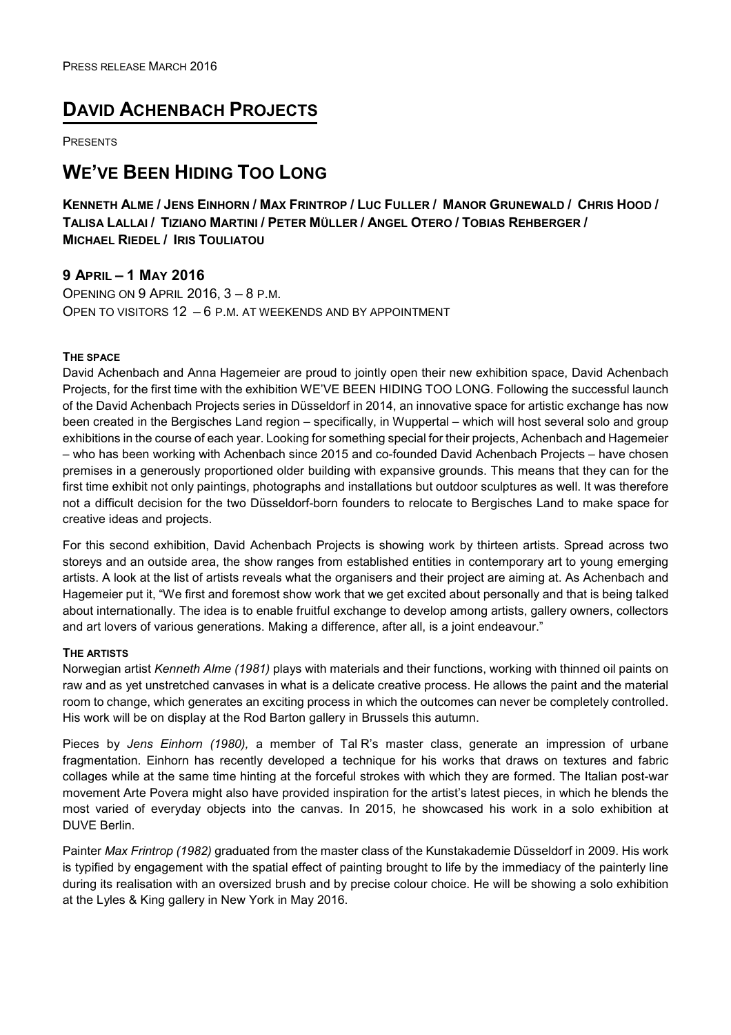## **DAVID ACHENBACH PROJECTS**

PRESENTS

# **WE'VE BEEN HIDING TOO LONG**

KENNETH ALME / JENS EINHORN / MAX FRINTROP / LUC FULLER / MANOR GRUNEWALD / CHRIS HOOD / TALISA LALLAI / TIZIANO MARTINI / PETER MÜLLER / ANGEL OTERO / TOBIAS REHBERGER / **MICHAEL RIEDEL / IRIS TOULIATOU** 

## **9 APRIL – 1 MAY 2016**

OPENING ON 9 APRIL 2016, 3 – 8 P.M. OPEN TO VISITORS 12 – 6 P.M. AT WEEKENDS AND BY APPOINTMENT

### **THE SPACE**

David Achenbach and Anna Hagemeier are proud to jointly open their new exhibition space, David Achenbach Projects, for the first time with the exhibition WE'VE BEEN HIDING TOO LONG. Following the successful launch of the David Achenbach Projects series in Düsseldorf in 2014, an innovative space for artistic exchange has now been created in the Bergisches Land region – specifically, in Wuppertal – which will host several solo and group exhibitions in the course of each year. Looking for something special for their projects, Achenbach and Hagemeier – who has been working with Achenbach since 2015 and co-founded David Achenbach Projects – have chosen premises in a generously proportioned older building with expansive grounds. This means that they can for the first time exhibit not only paintings, photographs and installations but outdoor sculptures as well. It was therefore not a difficult decision for the two Düsseldorf-born founders to relocate to Bergisches Land to make space for creative ideas and projects.

For this second exhibition, David Achenbach Projects is showing work by thirteen artists. Spread across two storeys and an outside area, the show ranges from established entities in contemporary art to young emerging artists. A look at the list of artists reveals what the organisers and their project are aiming at. As Achenbach and Hagemeier put it, "We first and foremost show work that we get excited about personally and that is being talked about internationally. The idea is to enable fruitful exchange to develop among artists, gallery owners, collectors and art lovers of various generations. Making a difference, after all, is a joint endeavour."

#### **THE ARTISTS**

Norwegian artist *Kenneth Alme (1981)* plays with materials and their functions, working with thinned oil paints on raw and as yet unstretched canvases in what is a delicate creative process. He allows the paint and the material room to change, which generates an exciting process in which the outcomes can never be completely controlled. His work will be on display at the Rod Barton gallery in Brussels this autumn.

Pieces by *Jens Einhorn (1980),* a member of Tal R's master class, generate an impression of urbane fragmentation. Einhorn has recently developed a technique for his works that draws on textures and fabric collages while at the same time hinting at the forceful strokes with which they are formed. The Italian post-war movement Arte Povera might also have provided inspiration for the artist's latest pieces, in which he blends the most varied of everyday objects into the canvas. In 2015, he showcased his work in a solo exhibition at DUVE Berlin.

Painter *Max Frintrop (1982)* graduated from the master class of the Kunstakademie Düsseldorf in 2009. His work is typified by engagement with the spatial effect of painting brought to life by the immediacy of the painterly line during its realisation with an oversized brush and by precise colour choice. He will be showing a solo exhibition at the Lyles & King gallery in New York in May 2016.